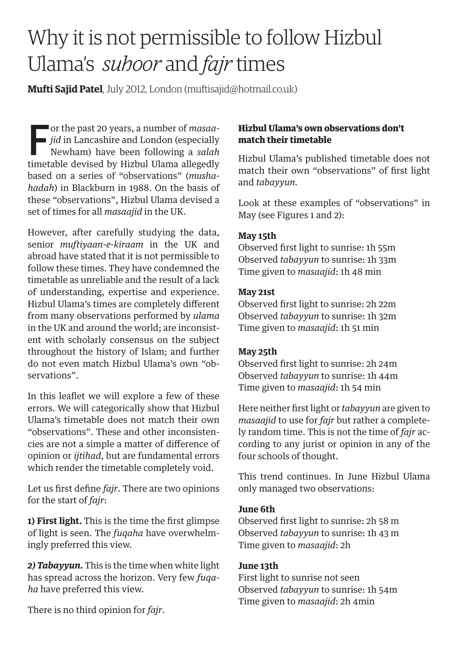# Why it is not permissible to follow Hizbul Ulama's *suhoor* and *fajr* times

**Mufti Sajid Patel**, July 2012, London (muftisajid@hotmail.co.uk)

or the past 20 years, a number of *masaa-*<br> *jid* in Lancashire and London (especially<br>
Newham) have been following a *salah*<br>
timetable devised by Highel Hlame allegedly *jid* in Lancashire and London (especially Newham) have been following a *salah* timetable devised by Hizbul Ulama allegedly based on a series of "observations" (*mushahadah*) in Blackburn in 1988. On the basis of these "observations", Hizbul Ulama devised a set of times for all *masaajid* in the UK.

However, after carefully studying the data, senior *muftiyaan-e-kiraam* in the UK and abroad have stated that it is not permissible to follow these times. They have condemned the timetable as unreliable and the result of a lack of understanding, expertise and experience. Hizbul Ulama's times are completely different from many observations performed by *ulama* in the UK and around the world; are inconsistent with scholarly consensus on the subject throughout the history of Islam; and further do not even match Hizbul Ulama's own "observations".

In this leaflet we will explore a few of these errors. We will categorically show that Hizbul Ulama's timetable does not match their own "observations". These and other inconsistencies are not a simple a matter of difference of opinion or *ijtihad*, but are fundamental errors which render the timetable completely void.

Let us first define *fajr*. There are two opinions for the start of *fajr*:

**1) First light.** This is the time the first glimpse of light is seen. The *fuqaha* have overwhelmingly preferred this view.

*2) Tabayyun.* This is the time when white light has spread across the horizon. Very few *fuqaha* have preferred this view.

There is no third opinion for *fajr*.

# Hizbul Ulama's own observations don't match their timetable

Hizbul Ulama's published timetable does not match their own "observations" of first light and *tabayyun.*

Look at these examples of "observations" in May (see Figures 1 and 2):

#### **May 15th**

Observed first light to sunrise: 1h 55m Observed *tabayyun* to sunrise: 1h 33m Time given to *masaajid*: 1h 48 min

#### **May 21st**

Observed first light to sunrise: 2h 22m Observed *tabayyun* to sunrise: 1h 32m Time given to *masaajid*: 1h 51 min

# **May 25th**

Observed first light to sunrise: 2h 24m Observed *tabayyun* to sunrise: 1h 44m Time given to *masaajid*: 1h 54 min

Here neither first light or *tabayyun* are given to *masaajid* to use for *fajr* but rather a completely random time. This is not the time of *fajr* according to any jurist or opinion in any of the four schools of thought.

This trend continues. In June Hizbul Ulama only managed two observations:

# **June 6th**

Observed first light to sunrise: 2h 58 m Observed *tabayyun* to sunrise: 1h 43 m Time given to *masaajid*: 2h

# **June 13th**

First light to sunrise not seen Observed *tabayyun* to sunrise: 1h 54m Time given to *masaajid*: 2h 4min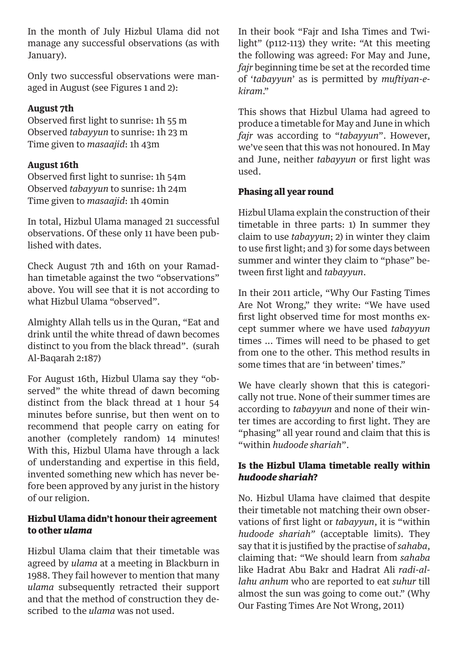In the month of July Hizbul Ulama did not manage any successful observations (as with January).

Only two successful observations were managed in August (see Figures 1 and 2):

# **August 7th**

Observed first light to sunrise: 1h 55 m Observed *tabayyun* to sunrise: 1h 23 m Time given to *masaajid*: 1h 43m

# **August 16th**

Observed first light to sunrise: 1h 54m Observed *tabayyun* to sunrise: 1h 24m Time given to *masaajid*: 1h 40min

In total, Hizbul Ulama managed 21 successful observations. Of these only 11 have been published with dates.

Check August 7th and 16th on your Ramadhan timetable against the two "observations" above. You will see that it is not according to what Hizbul Ulama "observed".

Almighty Allah tells us in the Quran, "Eat and drink until the white thread of dawn becomes distinct to you from the black thread". (surah Al-Baqarah 2:187)

For August 16th, Hizbul Ulama say they "observed" the white thread of dawn becoming distinct from the black thread at 1 hour 54 minutes before sunrise, but then went on to recommend that people carry on eating for another (completely random) 14 minutes! With this, Hizbul Ulama have through a lack of understanding and expertise in this field, invented something new which has never before been approved by any jurist in the history of our religion.

# Hizbul Ulama didn't honour their agreement to other *ulama*

Hizbul Ulama claim that their timetable was agreed by *ulama* at a meeting in Blackburn in 1988. They fail however to mention that many *ulama* subsequently retracted their support and that the method of construction they described to the *ulama* was not used.

In their book "Fajr and Isha Times and Twilight" (p112-113) they write: "At this meeting the following was agreed: For May and June, *fajr* beginning time be set at the recorded time of '*tabayyun*' as is permitted by *muftiyan-ekiram*."

This shows that Hizbul Ulama had agreed to produce a timetable for May and June in which *fajr* was according to "*tabayyun*". However, we've seen that this was not honoured. In May and June, neither *tabayyun* or first light was used.

# Phasing all year round

Hizbul Ulama explain the construction of their timetable in three parts: 1) In summer they claim to use *tabayyun*; 2) in winter they claim to use first light; and 3) for some days between summer and winter they claim to "phase" between first light and *tabayyun*.

In their 2011 article, "Why Our Fasting Times Are Not Wrong," they write: "We have used first light observed time for most months except summer where we have used *tabayyun* times ... Times will need to be phased to get from one to the other. This method results in some times that are 'in between' times."

We have clearly shown that this is categorically not true. None of their summer times are according to *tabayyun* and none of their winter times are according to first light. They are "phasing" all year round and claim that this is "within *hudoode shariah*".

# Is the Hizbul Ulama timetable really within *hudoode shariah*?

No. Hizbul Ulama have claimed that despite their timetable not matching their own observations of first light or *tabayyun*, it is "within *hudoode shariah"* (acceptable limits). They say that it is justified by the practise of *sahaba*, claiming that: "We should learn from *sahaba* like Hadrat Abu Bakr and Hadrat Ali *radi-allahu anhum* who are reported to eat *suhur* till almost the sun was going to come out." (Why Our Fasting Times Are Not Wrong, 2011)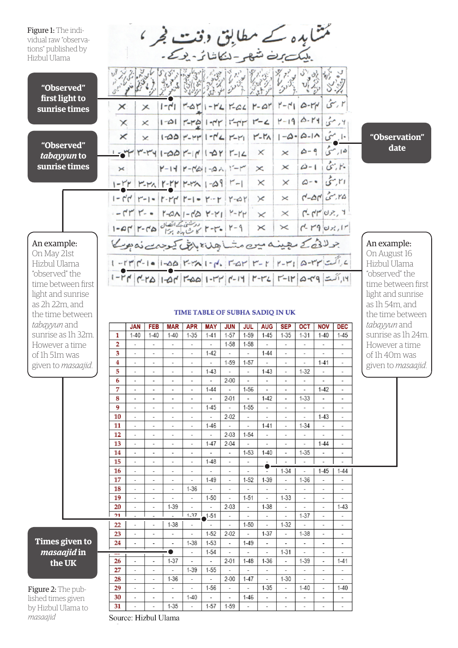Figure 1: The individual raw "observa tions" published by Hizbul Ulama

ممثنا بدہ کے مطابق وقت فجر ،<br>بلیک بنے شہر کنا شائر بد تک<br>اپنی کا پی کہ اس کا سائند کے اس کا کہنا ہے

**"Observed" first light to sunrise times**

**"Observed"**  *tabayyun* **to sunrise times**

An example: On May 21st Hizbul Ulama "observed" the time between first light and sunrise as 2h 22m, and the time between *tabayyun* and sunrise as 1h 3 However a time of 1h 51m was given to *masad* 

|                                                                                      |                                                           |  |  |                                      |  | 8 1 2 2 2 3 3 3 3 3 3 4 3 3 3 3 3 3 3 3 4                      |          |  |                                                                                                                                                  |  |
|--------------------------------------------------------------------------------------|-----------------------------------------------------------|--|--|--------------------------------------|--|----------------------------------------------------------------|----------|--|--------------------------------------------------------------------------------------------------------------------------------------------------|--|
| $\times$                                                                             | $\times$                                                  |  |  |                                      |  | $1 - 1$   $-4$   $1 - 12$   $-22$   $-41$                      |          |  | ۲ رسی   ۲۲-۵   ۲-۲                                                                                                                               |  |
| $\times$                                                                             | $\times$                                                  |  |  | $1 - 21$ -17 $1 - 7$ $1 - 1$ $2 - 1$ |  |                                                                |          |  | <sub>ا</sub> ۲٫ مئی  ۲۹-۵۰  ۲-۲                                                                                                                  |  |
| ×                                                                                    |                                                           |  |  |                                      |  | $\times$ 1-00 $r$ - $rr$ 1- $r$ $\leq$ $r$ - $r_1$ $r$ - $r_2$ |          |  | ۱۰ مئی ۱۸-۵-۵-۵-۱                                                                                                                                |  |
|                                                                                      |                                                           |  |  |                                      |  | ×                                                              |          |  | $\times$ $\left  \frac{\Delta - 9}{2} \right  \left  \frac{\zeta}{2}, 1 \right $                                                                 |  |
|                                                                                      | $\times$ $ Y-1Y Y-X+2Y-1$                                 |  |  |                                      |  | $\times$                                                       | $\times$ |  | $0 - 1$ $5 - 1$                                                                                                                                  |  |
|                                                                                      | $1-YY$   $Y-Y_1$   $Y-Y_2$   $Y-Y_3$   $-0.9$   $Y-1$     |  |  |                                      |  | $\times$                                                       | ×        |  | $0 - 8 = 5.11$                                                                                                                                   |  |
|                                                                                      | $1 - r'r'$ $r - 1 - 1$ $r - r'$ $r - 1 - r - r'$ $r - r'$ |  |  |                                      |  | ×                                                              | ×        |  | $r - \Delta r$ $\sigma$ , ra                                                                                                                     |  |
| $-74 - 9$ 14-7 $\& -1 - 60$ 1-14-1                                                   |                                                           |  |  |                                      |  | $\times$                                                       |          |  |                                                                                                                                                  |  |
|                                                                                      |                                                           |  |  |                                      |  | ×                                                              | ×        |  | $r - rq$ $v, r$                                                                                                                                  |  |
| 1-4-7-8 1-1 1-1-1 1-1-1 1-1-1<br>جولائی کے میمیندہ میں متساجِلنا بابق کیوجہے نہ ہونے |                                                           |  |  |                                      |  |                                                                |          |  |                                                                                                                                                  |  |
|                                                                                      |                                                           |  |  |                                      |  |                                                                |          |  | $1 - r r  r' - 1$ = $ 1-\Delta\Delta $ $r' = r \Delta 1 - r \Delta $ , $r' = \Delta r'  r - r' $ $r' = r'  r - r'' $ $\Delta - r' r'  r' = r'' $ |  |
|                                                                                      |                                                           |  |  |                                      |  |                                                                |          |  | $ P $ (21-7) (21-7) -11 (21-7) (21-1) (21-1) (21-1) (21-1) (21-1)                                                                                |  |

#### **"Observation" date**

An example:

On August 16 Hizbul Ulama "observed" the time between first light and sunrise as 1h 54m, and the time between *tabayyun* and sunrise as 1h 24m. However a time of 1h 40m was given to *masaajid*.

#### TIME TABLE OF SUBHA SADIO IN UK

|                         | <b>JAN</b>               | <b>FEB</b>                      | <b>MAR</b>               | <b>APR</b>               | <b>MAY</b>               | <b>JUN</b>               | <b>JUL</b>               | <b>AUG</b>               | <b>SEP</b>               | <b>OCT</b>               | <b>NOV</b>               | <b>DEC</b>               |
|-------------------------|--------------------------|---------------------------------|--------------------------|--------------------------|--------------------------|--------------------------|--------------------------|--------------------------|--------------------------|--------------------------|--------------------------|--------------------------|
| 1                       | $1 - 40$                 | $1 - 40$                        | $1 - 40$                 | $1-35$                   | $1 - 41$                 | $1 - 57$                 | $1 - 59$                 | $1 - 45$                 | $1 - 35$                 | $1 - 31$                 | $1 - 40$                 | $1 - 45$                 |
| $\overline{\mathbf{2}}$ | $\overline{\phantom{a}}$ | $\overline{\phantom{a}}$        | $\overline{\phantom{a}}$ | ۰                        | $\overline{\phantom{a}}$ | $1 - 58$                 | $1 - 58$                 | $\overline{\phantom{a}}$ | -                        | $\overline{\phantom{a}}$ | ٠                        | $\overline{\phantom{a}}$ |
| 3                       | $\overline{\phantom{a}}$ | $\overline{\phantom{a}}$        | $\overline{\phantom{a}}$ | $\overline{\phantom{a}}$ | $1 - 42$                 | $\overline{\phantom{a}}$ | $\overline{\phantom{a}}$ | $1 - 44$                 | -                        | $\overline{\phantom{a}}$ | $\frac{1}{2}$            | $\overline{\phantom{a}}$ |
| 4                       | $\overline{\phantom{a}}$ | $\overline{\phantom{a}}$        | $\overline{\phantom{a}}$ | $\overline{\phantom{a}}$ | $\overline{\phantom{a}}$ | $1 - 59$                 | $1 - 57$                 | $\overline{\phantom{a}}$ | -                        | $\overline{\phantom{a}}$ | $1 - 41$                 | $\overline{\phantom{a}}$ |
| 5                       | $\overline{\phantom{a}}$ | $\overline{\phantom{0}}$        | $\overline{\phantom{a}}$ | $\overline{\phantom{a}}$ | $1 - 43$                 | $\overline{a}$           | $\overline{a}$           | $1 - 43$                 | $\overline{\phantom{a}}$ | $1 - 32$                 | $\overline{\phantom{a}}$ | $\overline{\phantom{a}}$ |
| 6                       | $\overline{\phantom{a}}$ | $\overline{\phantom{a}}$        | $\overline{\phantom{a}}$ | $\overline{\phantom{a}}$ | $\overline{\phantom{a}}$ | $2 - 00$                 | ٠                        | -                        |                          | $\overline{\phantom{a}}$ | $\overline{\phantom{a}}$ | $\overline{\phantom{a}}$ |
| 7                       | $\overline{\phantom{a}}$ | $\overline{\phantom{a}}$        | $\overline{\phantom{a}}$ | $\overline{\phantom{a}}$ | $1 - 44$                 | $\overline{\phantom{a}}$ | $1 - 56$                 | $\overline{\phantom{a}}$ | -                        | $\overline{\phantom{a}}$ | $1 - 42$                 | $\overline{\phantom{a}}$ |
| 8                       |                          | $\overline{\phantom{a}}$        | $\overline{\phantom{a}}$ | $\overline{\phantom{a}}$ | $\overline{\phantom{a}}$ | $2 - 01$                 | $\overline{a}$           | $1 - 42$                 |                          | $1 - 33$                 | $\overline{\phantom{0}}$ | $\overline{\phantom{a}}$ |
| 9                       | $\overline{\phantom{a}}$ | $\overline{\phantom{a}}$        | $\overline{\phantom{a}}$ | $\overline{\phantom{a}}$ | $1 - 45$                 | $\overline{\phantom{a}}$ | $1 - 55$                 | $\overline{\phantom{a}}$ | -                        | $\overline{\phantom{a}}$ | -                        | $\overline{\phantom{a}}$ |
| 10                      | $\overline{\phantom{a}}$ | $\overline{\phantom{a}}$        | ۰                        | $\overline{\phantom{a}}$ | $\overline{\phantom{a}}$ | $2 - 02$                 | $\overline{\phantom{a}}$ | $\overline{\phantom{a}}$ | ٠                        | $\overline{\phantom{a}}$ | $1 - 43$                 | $\overline{\phantom{a}}$ |
| 11                      | $\overline{\phantom{a}}$ | $\overline{\phantom{0}}$        | $\overline{\phantom{a}}$ | $\overline{\phantom{a}}$ | $1 - 46$                 | $\overline{a}$           | $\overline{\phantom{0}}$ | $1 - 41$                 | $\overline{\phantom{a}}$ | $1 - 34$                 | ÷,                       | $\overline{\phantom{a}}$ |
| 12                      | $\overline{\phantom{a}}$ | $\overline{\phantom{a}}$        | $\overline{\phantom{a}}$ | $\overline{\phantom{a}}$ | $\overline{\phantom{0}}$ | $2 - 03$                 | $1 - 54$                 | $\overline{\phantom{a}}$ |                          | $\blacksquare$           | ÷                        | $\overline{\phantom{a}}$ |
| 13                      | $\overline{\phantom{a}}$ | -                               | $\overline{\phantom{a}}$ | ۰                        | $1 - 47$                 | $2 - 04$                 | $\overline{\phantom{0}}$ | $\overline{\phantom{a}}$ | -                        | $\overline{\phantom{a}}$ | $1 - 44$                 |                          |
| 14                      | $\overline{\phantom{a}}$ | $\overline{\phantom{0}}$        | $\overline{\phantom{a}}$ | $\overline{\phantom{a}}$ | $\overline{\phantom{a}}$ | $\overline{\phantom{a}}$ | $1 - 53$                 | $1 - 40$                 | $\overline{a}$           | $1 - 35$                 | ÷,                       | $\overline{\phantom{a}}$ |
| 15                      | $\overline{\phantom{a}}$ | $\overline{\phantom{0}}$        | $\overline{\phantom{a}}$ | $\overline{\phantom{a}}$ | $1 - 48$                 | $\overline{\phantom{a}}$ | $\overline{\phantom{a}}$ | $\overline{\phantom{a}}$ | $\overline{\phantom{a}}$ | $\overline{\phantom{a}}$ | $\overline{\phantom{a}}$ | $\overline{\phantom{a}}$ |
| 16                      | $\overline{\phantom{a}}$ | $\overline{\phantom{a}}$        | $\overline{\phantom{a}}$ |                          | $\overline{\phantom{a}}$ | $\overline{\phantom{a}}$ | $\overline{\phantom{a}}$ | $\overline{\phantom{a}}$ | $1 - 34$                 | $\overline{\phantom{a}}$ | $1 - 45$                 | $1 - 44$                 |
| 17                      | $\overline{\phantom{a}}$ | $\overline{\phantom{0}}$        | $\overline{\phantom{a}}$ | $\overline{\phantom{a}}$ | $1 - 49$                 | $\overline{\phantom{a}}$ | $1 - 52$                 | $1 - 39$                 | $\overline{\phantom{a}}$ | 1-36                     | $\overline{\phantom{0}}$ | $\overline{\phantom{a}}$ |
| 18                      | $\overline{\phantom{a}}$ | ٠                               | $\overline{\phantom{a}}$ | $1 - 36$                 | L.                       | $\overline{a}$           | L.                       | $\overline{\phantom{a}}$ |                          | $\overline{\phantom{a}}$ | $\overline{\phantom{0}}$ | $\overline{\phantom{a}}$ |
| 19                      | $\overline{\phantom{a}}$ | $\overline{\phantom{0}}$        |                          | ÷.                       | $1 - 50$                 | $\overline{a}$           | $1 - 51$                 | $\overline{a}$           | $1 - 33$                 | $\overline{\phantom{a}}$ | $\overline{\phantom{0}}$ | ٠                        |
| 20                      | $\overline{\phantom{a}}$ | $\overline{\phantom{a}}$        | 1-39                     | $\overline{\phantom{a}}$ | $\overline{\phantom{a}}$ | $2 - 03$                 | $\overline{\phantom{a}}$ | $1 - 38$                 | $\overline{\phantom{a}}$ | $\overline{\phantom{a}}$ | $\overline{\phantom{a}}$ | $1 - 43$                 |
| 21                      | $\overline{a}$           | $\centering \label{eq:reduced}$ | $\overline{\phantom{a}}$ | $1 - 37$                 | $1 - 51$                 | $\overline{\phantom{a}}$ |                          | $\overline{\phantom{a}}$ | $\overline{\phantom{a}}$ | $1 - 37$                 | $\overline{\phantom{0}}$ | $\overline{\phantom{a}}$ |
| 22                      | $\overline{\phantom{a}}$ | ۰                               | $1 - 38$                 | $\overline{\phantom{a}}$ |                          | $\overline{\phantom{a}}$ | $1 - 50$                 | $\overline{a}$           | $1 - 32$                 |                          | $\overline{\phantom{0}}$ | $\overline{\phantom{a}}$ |
| 23                      | $\overline{\phantom{a}}$ | $\overline{\phantom{a}}$        | $\overline{\phantom{a}}$ | $\overline{\phantom{a}}$ | $1 - 52$                 | $2 - 02$                 | $\overline{\phantom{a}}$ | $1 - 37$                 | $\overline{\phantom{a}}$ | $1 - 38$                 | $\overline{\phantom{0}}$ | $\overline{\phantom{a}}$ |
|                         |                          |                                 |                          | $1 - 38$                 | $1 - 53$                 | $\overline{\phantom{a}}$ | $1 - 49$                 | $\overline{\phantom{a}}$ | $\overline{\phantom{a}}$ | $\overline{\phantom{a}}$ | $\overline{\phantom{a}}$ | $\overline{\phantom{a}}$ |
| 24                      | $\overline{\phantom{a}}$ | $\overline{\phantom{a}}$        | $\overline{\phantom{a}}$ |                          |                          |                          |                          |                          |                          |                          |                          |                          |
|                         |                          |                                 | ●                        | $\overline{\phantom{a}}$ | $1 - 54$                 |                          |                          | $\overline{a}$           | $1 - 31$                 |                          | $\overline{\phantom{0}}$ |                          |
| 26                      | $\overline{\phantom{a}}$ | $\overline{\phantom{a}}$        | $1 - 37$                 | $\overline{\phantom{a}}$ | $\overline{\phantom{a}}$ | $2 - 01$                 | $1 - 48$                 | $1 - 36$                 | $\overline{\phantom{a}}$ | 1-39                     | -                        | $1 - 41$                 |
| 27                      | $\overline{\phantom{a}}$ | $\overline{\phantom{a}}$        | $\overline{\phantom{a}}$ | $1 - 39$                 | $1 - 55$                 | $\overline{\phantom{a}}$ | $\overline{\phantom{0}}$ | $\overline{\phantom{a}}$ | ۰                        | $\overline{\phantom{a}}$ | $\overline{\phantom{a}}$ | $\overline{\phantom{a}}$ |
| 28                      | $\overline{\phantom{a}}$ | $\overline{\phantom{0}}$        | $1 - 36$                 | $\overline{\phantom{a}}$ | $\overline{\phantom{a}}$ | $2 - 00$                 | $1 - 47$                 | $\overline{a}$           | $1 - 30$                 | $\overline{\phantom{a}}$ | $\overline{\phantom{0}}$ |                          |
| 29                      | $\overline{\phantom{a}}$ | $\overline{\phantom{0}}$        | $\overline{\phantom{a}}$ | $\overline{\phantom{a}}$ | $1 - 56$                 | -                        | ÷,                       | $1 - 35$                 | ٠                        | $1 - 40$                 | $\overline{\phantom{0}}$ | $1 - 40$                 |
| 30                      | $\overline{\phantom{a}}$ | $\overline{\phantom{a}}$        | $\overline{\phantom{a}}$ | $1 - 40$                 | $\overline{\phantom{a}}$ | $\overline{\phantom{a}}$ | $1 - 46$                 | $\overline{\phantom{a}}$ | $\overline{\phantom{a}}$ | $\overline{\phantom{a}}$ | $\overline{\phantom{a}}$ | $\overline{\phantom{a}}$ |
|                         |                          |                                 |                          |                          |                          |                          |                          |                          | $\bullet$                |                          |                          |                          |

**Times given** *masaajid* **in the UK**

Figure 2: The pul lished times given by Hizbul Ulama *masaajid*

Source: Hizbul Ulama